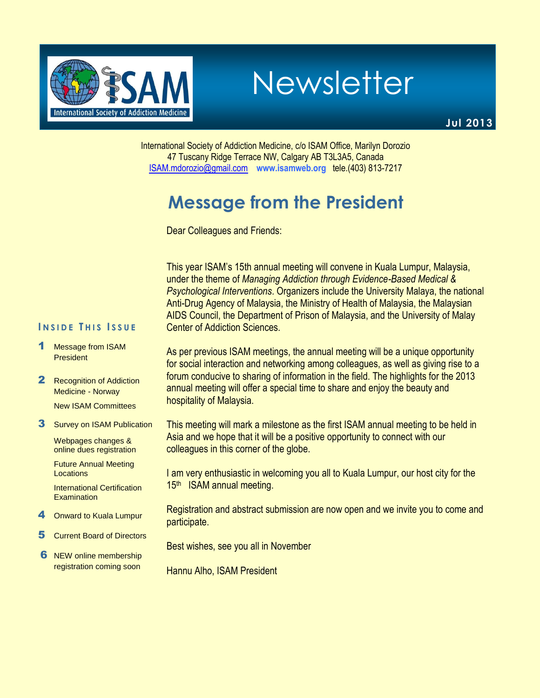

Newsletter

**Jul 2013**

International Society of Addiction Medicine, c/o ISAM Office, Marilyn Dorozio 47 Tuscany Ridge Terrace NW, Calgary AB T3L3A5, Canada [ISAM.mdorozio@gmail.com](mailto:office@isamweb.com/mdorozio@shaw.ca) **www.isamweb.org** tele.(403) 813-7217

# **Message from the President**

Dear Colleagues and Friends:

This year ISAM's 15th annual meeting will convene in Kuala Lumpur, Malaysia, under the theme of *Managing Addiction through Evidence-Based Medical & Psychological Interventions*. Organizers include the University Malaya, the national Anti-Drug Agency of Malaysia, the Ministry of Health of Malaysia, the Malaysian AIDS Council, the Department of Prison of Malaysia, and the University of Malay Center of Addiction Sciences.

#### **I N S I D E T H I S I S S U E**

- Message from ISAM **President**
- 2 Recognition of Addiction Medicine - Norway
	- New ISAM Committees
- **3** Survey on ISAM Publication

Webpages changes & online dues registration

Future Annual Meeting Locations

International Certification Examination

- **Onward to Kuala Lumpur**
- 5 Current Board of Directors
- **6** NEW online membership registration coming soon

As per previous ISAM meetings, the annual meeting will be a unique opportunity for social interaction and networking among colleagues, as well as giving rise to a forum conducive to sharing of information in the field. The highlights for the 2013 annual meeting will offer a special time to share and enjoy the beauty and hospitality of Malaysia.

This meeting will mark a milestone as the first ISAM annual meeting to be held in Asia and we hope that it will be a positive opportunity to connect with our colleagues in this corner of the globe.

I am very enthusiastic in welcoming you all to Kuala Lumpur, our host city for the 15<sup>th</sup> ISAM annual meeting.

Registration and abstract submission are now open and we invite you to come and participate.

Best wishes, see you all in November

Hannu Alho, ISAM President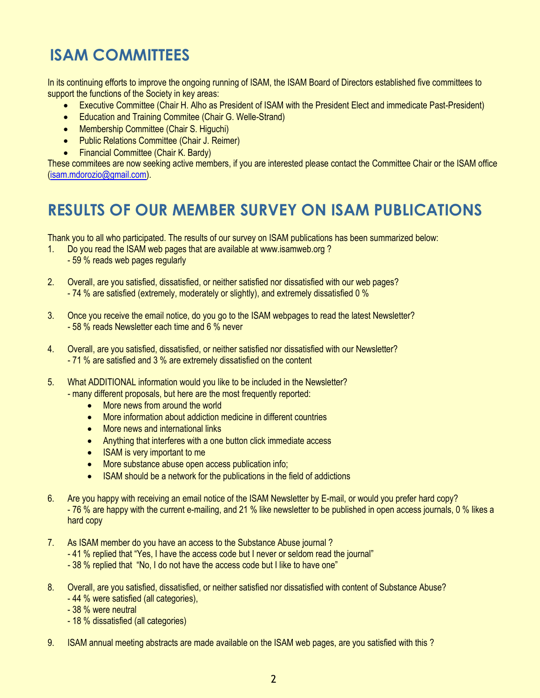# **ISAM COMMITTEES**

In its continuing efforts to improve the ongoing running of ISAM, the ISAM Board of Directors established five committees to support the functions of the Society in key areas:

- Executive Committee (Chair H. Alho as President of ISAM with the President Elect and immedicate Past-President)
- Education and Training Commitee (Chair G. Welle-Strand)
- Membership Committee (Chair S. Higuchi)
- Public Relations Committee (Chair J. Reimer)
- Financial Committee (Chair K. Bardy)

These commitees are now seeking active members, if you are interested please contact the Committee Chair or the ISAM office [\(isam.mdorozio@gmail.com\)](mailto:isam.mdorozio@gmail.com).

## **RESULTS OF OUR MEMBER SURVEY ON ISAM PUBLICATIONS**

Thank you to all who participated. The results of our survey on ISAM publications has been summarized below:

- 1. Do you read the ISAM web pages that are available at www.isamweb.org ? - 59 % reads web pages regularly
- 2. Overall, are you satisfied, dissatisfied, or neither satisfied nor dissatisfied with our web pages? - 74 % are satisfied (extremely, moderately or slightly), and extremely dissatisfied 0 %
- 3. Once you receive the email notice, do you go to the ISAM webpages to read the latest Newsletter? - 58 % reads Newsletter each time and 6 % never
- 4. Overall, are you satisfied, dissatisfied, or neither satisfied nor dissatisfied with our Newsletter? - 71 % are satisfied and 3 % are extremely dissatisfied on the content
- 5. What ADDITIONAL information would you like to be included in the Newsletter? - many different proposals, but here are the most frequently reported:
	- More news from around the world
	- More information about addiction medicine in different countries
	- More news and international links
	- Anything that interferes with a one button click immediate access
	- ISAM is very important to me
	- More substance abuse open access publication info;
	- ISAM should be a network for the publications in the field of addictions
- 6. Are you happy with receiving an email notice of the ISAM Newsletter by E-mail, or would you prefer hard copy? - 76 % are happy with the current e-mailing, and 21 % like newsletter to be published in open access journals, 0 % likes a hard copy
- 7. As ISAM member do you have an access to the Substance Abuse journal ?
	- 41 % replied that "Yes, I have the access code but I never or seldom read the journal"
	- 38 % replied that "No, I do not have the access code but I like to have one"
- 8. Overall, are you satisfied, dissatisfied, or neither satisfied nor dissatisfied with content of Substance Abuse?
	- 44 % were satisfied (all categories),
	- 38 % were neutral
	- 18 % dissatisfied (all categories)
- 9. ISAM annual meeting abstracts are made available on the ISAM web pages, are you satisfied with this ?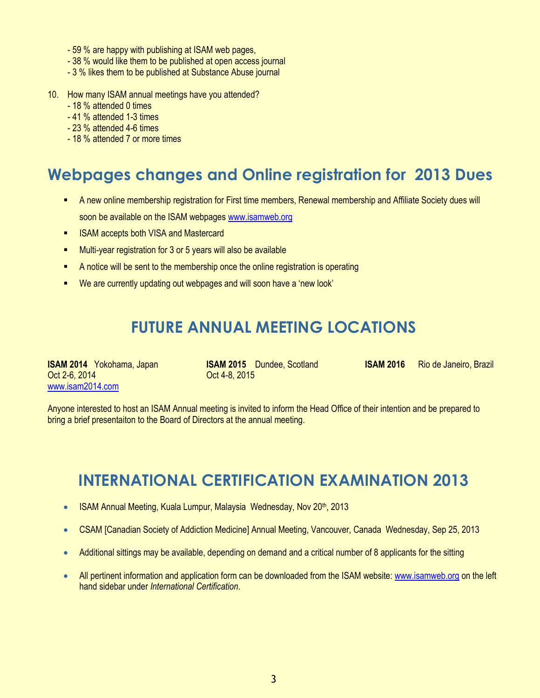- 59 % are happy with publishing at ISAM web pages,
- 38 % would like them to be published at open access journal
- 3 % likes them to be published at Substance Abuse journal
- 10. How many ISAM annual meetings have you attended?
	- 18 % attended 0 times
	- 41 % attended 1-3 times
	- 23 % attended 4-6 times
	- 18 % attended 7 or more times

## **Webpages changes and Online registration for 2013 Dues**

- A new online membership registration for First time members, Renewal membership and Affiliate Society dues will soon be available on the ISAM webpage[s www.isamweb.org](http://www.isamweb.org/)
- ISAM accepts both VISA and Mastercard
- **Multi-year registration for 3 or 5 years will also be available**
- A notice will be sent to the membership once the online registration is operating
- We are currently updating out webpages and will soon have a 'new look'

### **FUTURE ANNUAL MEETING LOCATIONS**

Oct 2-6, 2014 Oct 4-8, 2015 [www.isam2014.com](http://www.isam2014.com/)

**ISAM 2014** Yokohama, Japan **ISAM 2015** Dundee, Scotland **ISAM 2016** Rio de Janeiro, Brazil

Anyone interested to host an ISAM Annual meeting is invited to inform the Head Office of their intention and be prepared to bring a brief presentaiton to the Board of Directors at the annual meeting.

### **INTERNATIONAL CERTIFICATION EXAMINATION 2013**

- ISAM Annual Meeting, Kuala Lumpur, Malaysia Wednesday, Nov 20th, 2013
- CSAM [Canadian Society of Addiction Medicine] Annual Meeting, Vancouver, Canada Wednesday, Sep 25, 2013
- Additional sittings may be available, depending on demand and a critical number of 8 applicants for the sitting
- All pertinent information and application form can be downloaded from the ISAM website[: www.isamweb.org](http://www.isamweb.org/) on the left hand sidebar under *International Certification*.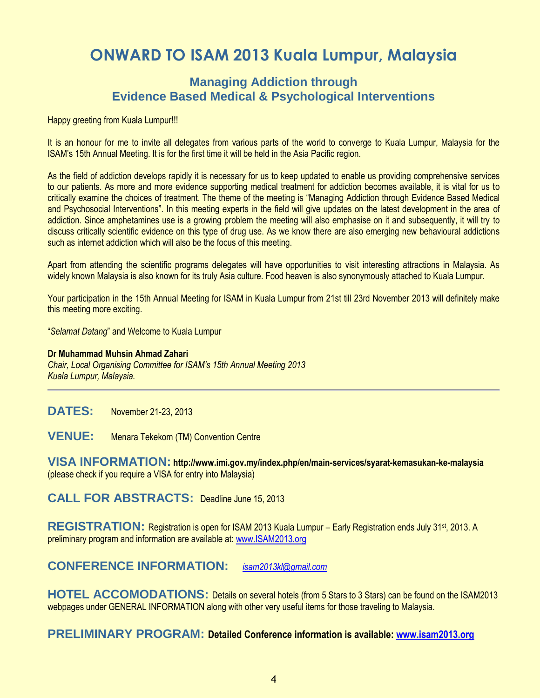## **ONWARD TO ISAM 2013 Kuala Lumpur, Malaysia**

### **Managing Addiction through Evidence Based Medical & Psychological Interventions**

Happy greeting from Kuala Lumpur!!!

It is an honour for me to invite all delegates from various parts of the world to converge to Kuala Lumpur, Malaysia for the ISAM's 15th Annual Meeting. It is for the first time it will be held in the Asia Pacific region.

As the field of addiction develops rapidly it is necessary for us to keep updated to enable us providing comprehensive services to our patients. As more and more evidence supporting medical treatment for addiction becomes available, it is vital for us to critically examine the choices of treatment. The theme of the meeting is "Managing Addiction through Evidence Based Medical and Psychosocial Interventions". In this meeting experts in the field will give updates on the latest development in the area of addiction. Since amphetamines use is a growing problem the meeting will also emphasise on it and subsequently, it will try to discuss critically scientific evidence on this type of drug use. As we know there are also emerging new behavioural addictions such as internet addiction which will also be the focus of this meeting.

Apart from attending the scientific programs delegates will have opportunities to visit interesting attractions in Malaysia. As widely known Malaysia is also known for its truly Asia culture. Food heaven is also synonymously attached to Kuala Lumpur.

Your participation in the 15th Annual Meeting for ISAM in Kuala Lumpur from 21st till 23rd November 2013 will definitely make this meeting more exciting.

"*Selamat Datang*" and Welcome to Kuala Lumpur

#### **Dr Muhammad Muhsin Ahmad Zahari**

*Chair, Local Organising Committee for ISAM's 15th Annual Meeting 2013 Kuala Lumpur, Malaysia.* 

**DATES:** November 21-23, 2013

**VENUE:** Menara Tekekom (TM) Convention Centre

**VISA INFORMATION: http://www.imi.gov.my/index.php/en/main-services/syarat-kemasukan-ke-malaysia**  (please check if you require a VISA for entry into Malaysia)

**CALL FOR ABSTRACTS:** Deadline June 15, 2013

REGISTRATION: Registration is open for ISAM 2013 Kuala Lumpur – Early Registration ends July 31<sup>st</sup>, 2013. A preliminary program and information are available at[: www.ISAM2013.org](http://www.isam2013.org/)

### **CONFERENCE INFORMATION:** *[isam2013kl@gmail.com](mailto:isam2013kl@gmail.com)*

**HOTEL ACCOMODATIONS:** Details on several hotels (from 5 Stars to 3 Stars) can be found on the ISAM2013 webpages under GENERAL INFORMATION along with other very useful items for those traveling to Malaysia.

#### **PRELIMINARY PROGRAM: Detailed Conference information is available: [www.isam2013.org](http://www.isam2013.org/)**